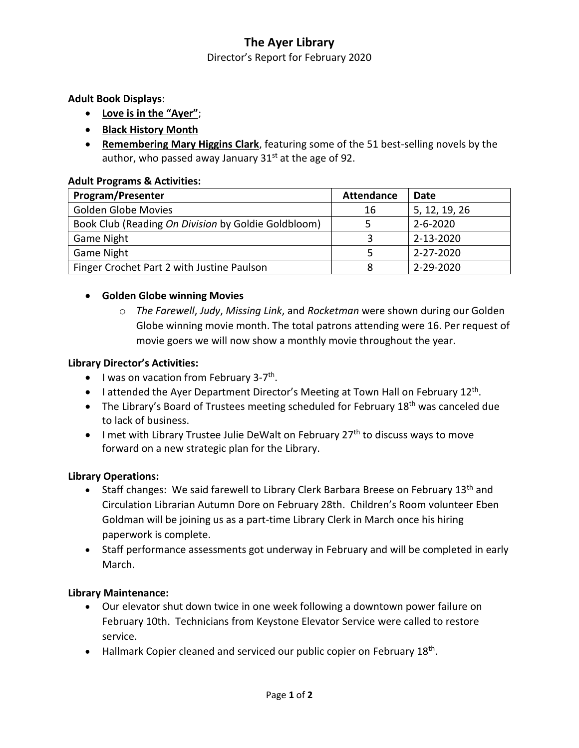# **The Ayer Library**

Director's Report for February 2020

**Adult Book Displays**:

- **Love is in the "Ayer"**;
- **Black History Month**
- **Remembering Mary Higgins Clark**, featuring some of the 51 best-selling novels by the author, who passed away January  $31<sup>st</sup>$  at the age of 92.

## **Adult Programs & Activities:**

| <b>Program/Presenter</b>                            | <b>Attendance</b> | Date           |
|-----------------------------------------------------|-------------------|----------------|
| <b>Golden Globe Movies</b>                          | 16                | 5, 12, 19, 26  |
| Book Club (Reading On Division by Goldie Goldbloom) |                   | $2 - 6 - 2020$ |
| <b>Game Night</b>                                   |                   | 2-13-2020      |
| <b>Game Night</b>                                   |                   | 2-27-2020      |
| Finger Crochet Part 2 with Justine Paulson          | Ջ                 | 2-29-2020      |

# **Golden Globe winning Movies**

o *The Farewell*, *Judy*, *Missing Link*, and *Rocketman* were shown during our Golden Globe winning movie month. The total patrons attending were 16. Per request of movie goers we will now show a monthly movie throughout the year.

## **Library Director's Activities:**

- I was on vacation from February 3-7<sup>th</sup>.
- I attended the Ayer Department Director's Meeting at Town Hall on February 12<sup>th</sup>.
- The Library's Board of Trustees meeting scheduled for February  $18<sup>th</sup>$  was canceled due to lack of business.
- I met with Library Trustee Julie DeWalt on February  $27<sup>th</sup>$  to discuss ways to move forward on a new strategic plan for the Library.

# **Library Operations:**

- Staff changes: We said farewell to Library Clerk Barbara Breese on February 13<sup>th</sup> and Circulation Librarian Autumn Dore on February 28th. Children's Room volunteer Eben Goldman will be joining us as a part-time Library Clerk in March once his hiring paperwork is complete.
- Staff performance assessments got underway in February and will be completed in early March.

#### **Library Maintenance:**

- Our elevator shut down twice in one week following a downtown power failure on February 10th. Technicians from Keystone Elevator Service were called to restore service.
- Hallmark Copier cleaned and serviced our public copier on February 18<sup>th</sup>.